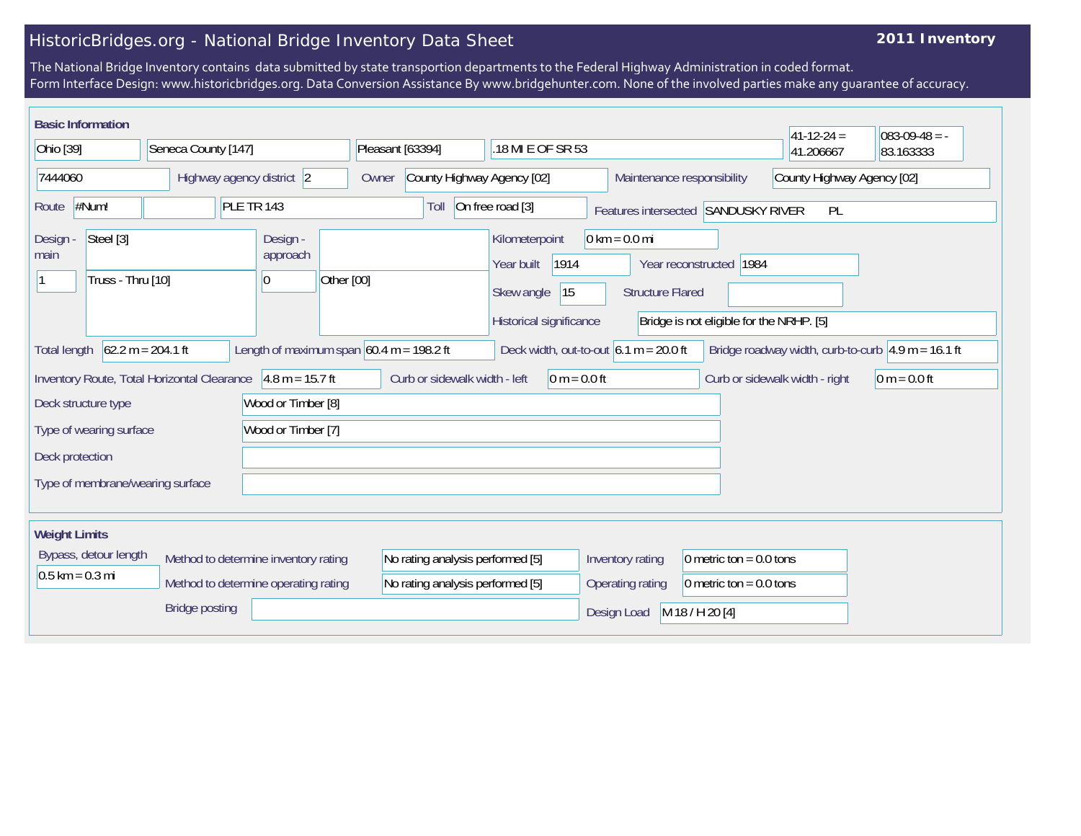## HistoricBridges.org - National Bridge Inventory Data Sheet

## **2011 Inventory**

The National Bridge Inventory contains data submitted by state transportion departments to the Federal Highway Administration in coded format. Form Interface Design: www.historicbridges.org. Data Conversion Assistance By www.bridgehunter.com. None of the involved parties make any guarantee of accuracy.

|                      | <b>Basic Information</b>                                                                                                                                                                                                                                                   |                                                             |            |                                      |            |                                     |                               |  |                                            |                |                            |                                                            |                 |                           |                            | $41 - 12 - 24 =$               | $083-09-48 = -$ |
|----------------------|----------------------------------------------------------------------------------------------------------------------------------------------------------------------------------------------------------------------------------------------------------------------------|-------------------------------------------------------------|------------|--------------------------------------|------------|-------------------------------------|-------------------------------|--|--------------------------------------------|----------------|----------------------------|------------------------------------------------------------|-----------------|---------------------------|----------------------------|--------------------------------|-----------------|
| Ohio [39]            |                                                                                                                                                                                                                                                                            | Seneca County [147]                                         |            |                                      |            | Pleasant [63394]                    |                               |  | .18 MI E OF SR 53                          |                |                            |                                                            |                 | 41.206667                 | 83.163333                  |                                |                 |
| 7444060              |                                                                                                                                                                                                                                                                            | Highway agency district 2                                   |            |                                      |            | County Highway Agency [02]<br>Owner |                               |  |                                            |                | Maintenance responsibility |                                                            |                 |                           | County Highway Agency [02] |                                |                 |
| Route                | #Num!                                                                                                                                                                                                                                                                      |                                                             | PLE TR 143 |                                      |            |                                     | Toll                          |  | On free road [3]                           |                |                            | Features intersected SANDUSKY RIVER                        |                 |                           |                            | PL                             |                 |
| Design<br>main       | Steel [3]<br>Truss - Thru [10]                                                                                                                                                                                                                                             |                                                             |            | Design -<br>approach<br> 0           | Other [00] |                                     |                               |  | Kilometerpoint<br>Year built<br>Skew angle | 1914<br>15     |                            | $0 \text{ km} = 0.0 \text{ mi}$<br><b>Structure Flared</b> |                 | Year reconstructed 1984   |                            |                                |                 |
|                      | Historical significance<br>Bridge is not eligible for the NRHP. [5]<br>$62.2 m = 204.1 ft$<br>Length of maximum span $60.4$ m = 198.2 ft<br>Deck width, out-to-out $6.1 m = 20.0 ft$<br>Bridge roadway width, curb-to-curb $\sqrt{4.9}$ m = 16.1 ft<br><b>Total length</b> |                                                             |            |                                      |            |                                     |                               |  |                                            |                |                            |                                                            |                 |                           |                            |                                |                 |
|                      |                                                                                                                                                                                                                                                                            | Inventory Route, Total Horizontal Clearance 4.8 m = 15.7 ft |            |                                      |            |                                     | Curb or sidewalk width - left |  |                                            | $0 m = 0.0 ft$ |                            |                                                            |                 |                           |                            | Curb or sidewalk width - right | $0 m = 0.0 ft$  |
|                      | Deck structure type                                                                                                                                                                                                                                                        |                                                             |            | Wood or Timber [8]                   |            |                                     |                               |  |                                            |                |                            |                                                            |                 |                           |                            |                                |                 |
|                      | Type of wearing surface                                                                                                                                                                                                                                                    |                                                             |            | Wood or Timber [7]                   |            |                                     |                               |  |                                            |                |                            |                                                            |                 |                           |                            |                                |                 |
| Deck protection      |                                                                                                                                                                                                                                                                            |                                                             |            |                                      |            |                                     |                               |  |                                            |                |                            |                                                            |                 |                           |                            |                                |                 |
|                      |                                                                                                                                                                                                                                                                            | Type of membrane/wearing surface                            |            |                                      |            |                                     |                               |  |                                            |                |                            |                                                            |                 |                           |                            |                                |                 |
| <b>Weight Limits</b> |                                                                                                                                                                                                                                                                            |                                                             |            |                                      |            |                                     |                               |  |                                            |                |                            |                                                            |                 |                           |                            |                                |                 |
|                      | Bypass, detour length                                                                                                                                                                                                                                                      |                                                             |            | Method to determine inventory rating |            |                                     |                               |  | No rating analysis performed [5]           |                |                            | Inventory rating                                           |                 | 0 metric ton = $0.0$ tons |                            |                                |                 |
| $0.5$ km = 0.3 mi    |                                                                                                                                                                                                                                                                            |                                                             |            | Method to determine operating rating |            |                                     |                               |  | No rating analysis performed [5]           |                |                            | Operating rating                                           |                 | 0 metric ton = $0.0$ tons |                            |                                |                 |
|                      |                                                                                                                                                                                                                                                                            | <b>Bridge posting</b>                                       |            |                                      |            |                                     |                               |  |                                            |                |                            | Design Load                                                | M 18 / H 20 [4] |                           |                            |                                |                 |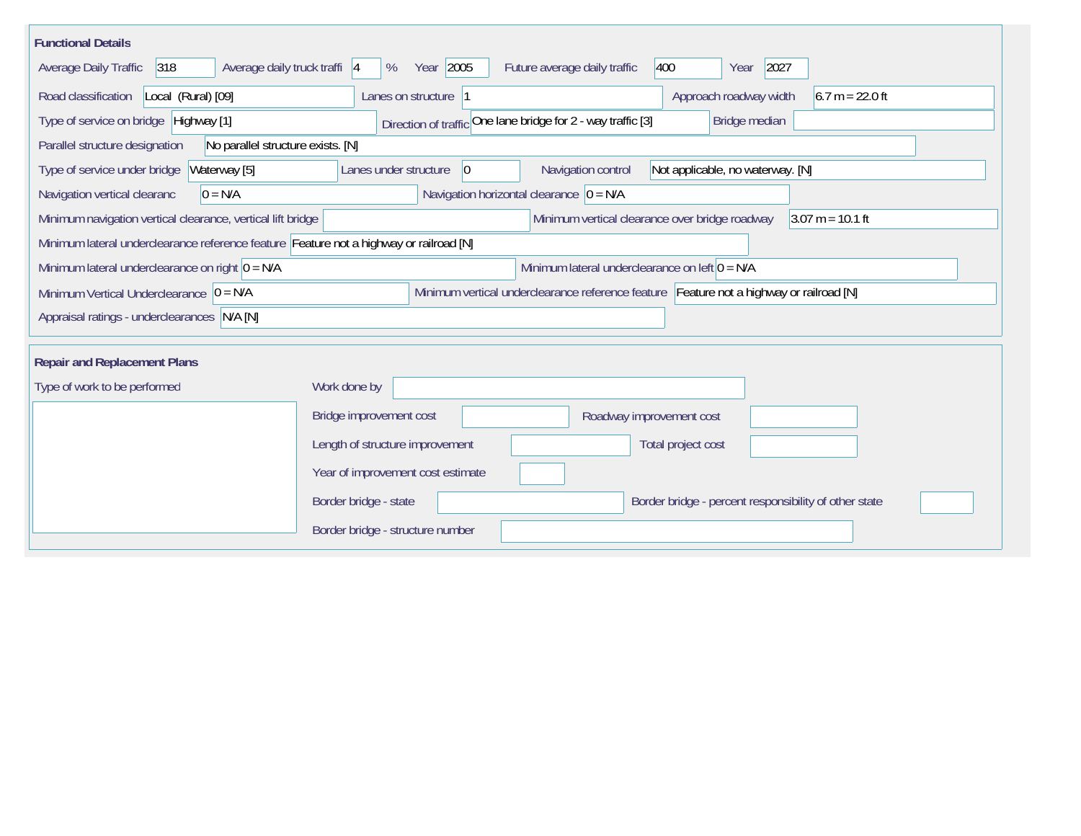| <b>Functional Details</b>                                                                                              |                                                                                         |  |  |  |  |  |  |  |  |  |
|------------------------------------------------------------------------------------------------------------------------|-----------------------------------------------------------------------------------------|--|--|--|--|--|--|--|--|--|
| 318<br>Average daily truck traffi 4<br>Average Daily Traffic                                                           | Year 2005<br>Future average daily traffic<br>400<br>2027<br>%<br>Year                   |  |  |  |  |  |  |  |  |  |
| Road classification<br>Local (Rural) [09]                                                                              | Approach roadway width<br>$6.7 m = 22.0 ft$<br>Lanes on structure  1                    |  |  |  |  |  |  |  |  |  |
| Direction of traffic One lane bridge for 2 - way traffic [3]<br>Type of service on bridge Highway [1]<br>Bridge median |                                                                                         |  |  |  |  |  |  |  |  |  |
| Parallel structure designation                                                                                         | No parallel structure exists. [N]                                                       |  |  |  |  |  |  |  |  |  |
| Waterway [5]<br>Type of service under bridge                                                                           | Navigation control<br> 0 <br>Not applicable, no waterway. [N]<br>Lanes under structure  |  |  |  |  |  |  |  |  |  |
| $0 = N/A$<br>Navigation vertical clearanc                                                                              | Navigation horizontal clearance $ 0 = N/A $                                             |  |  |  |  |  |  |  |  |  |
| Minimum navigation vertical clearance, vertical lift bridge                                                            | Minimum vertical clearance over bridge roadway<br>$3.07 m = 10.1 ft$                    |  |  |  |  |  |  |  |  |  |
| Minimum lateral underclearance reference feature Feature not a highway or railroad [N]                                 |                                                                                         |  |  |  |  |  |  |  |  |  |
| Minimum lateral underclearance on right $0 = N/A$                                                                      | Minimum lateral underclearance on left $0 = N/A$                                        |  |  |  |  |  |  |  |  |  |
| Minimum Vertical Underclearance $ 0 = N/A$                                                                             | Minimum vertical underclearance reference feature Feature not a highway or railroad [N] |  |  |  |  |  |  |  |  |  |
| Appraisal ratings - underclearances N/A [N]                                                                            |                                                                                         |  |  |  |  |  |  |  |  |  |
|                                                                                                                        |                                                                                         |  |  |  |  |  |  |  |  |  |
| <b>Repair and Replacement Plans</b>                                                                                    |                                                                                         |  |  |  |  |  |  |  |  |  |
| Type of work to be performed                                                                                           | Work done by                                                                            |  |  |  |  |  |  |  |  |  |
|                                                                                                                        | Bridge improvement cost<br>Roadway improvement cost                                     |  |  |  |  |  |  |  |  |  |
|                                                                                                                        | Length of structure improvement<br>Total project cost                                   |  |  |  |  |  |  |  |  |  |
|                                                                                                                        | Year of improvement cost estimate                                                       |  |  |  |  |  |  |  |  |  |
|                                                                                                                        | Border bridge - state<br>Border bridge - percent responsibility of other state          |  |  |  |  |  |  |  |  |  |
|                                                                                                                        | Border bridge - structure number                                                        |  |  |  |  |  |  |  |  |  |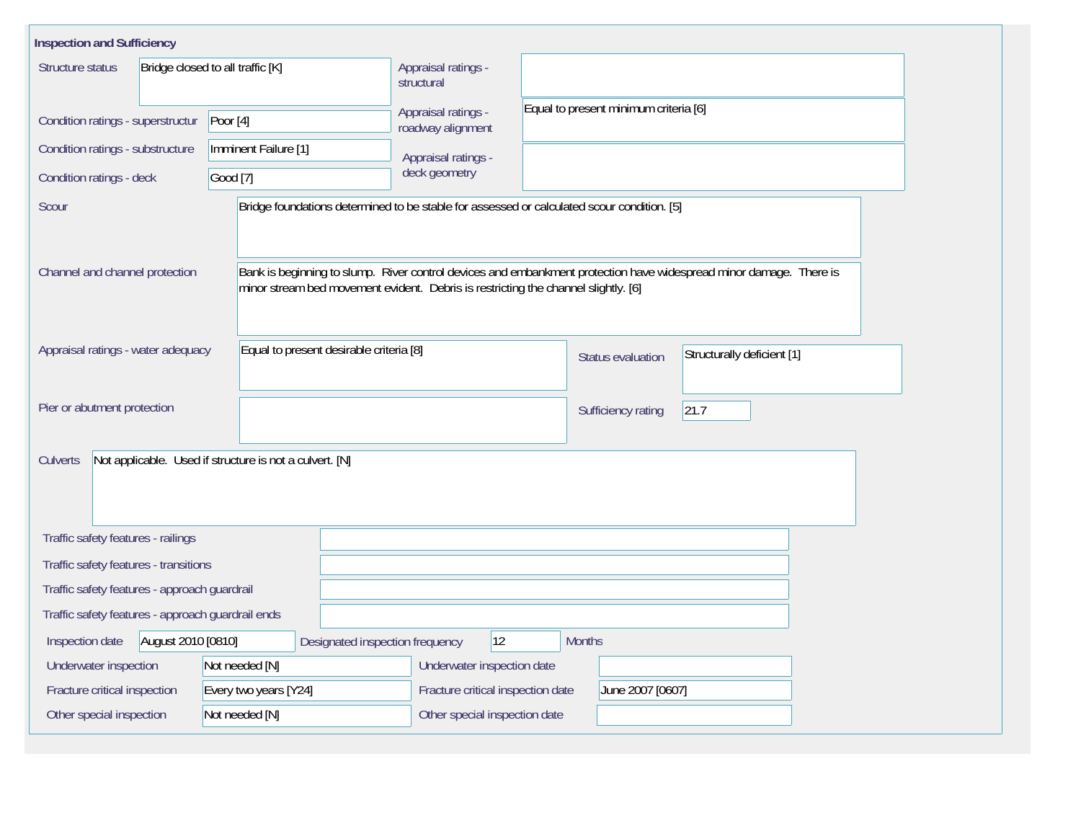| <b>Inspection and Sufficiency</b>                                   |                                                                                    |                                          |                                                                                            |                                                                                                                    |  |  |  |  |
|---------------------------------------------------------------------|------------------------------------------------------------------------------------|------------------------------------------|--------------------------------------------------------------------------------------------|--------------------------------------------------------------------------------------------------------------------|--|--|--|--|
| Structure status                                                    | Bridge closed to all traffic [K]                                                   | Appraisal ratings -<br>structural        |                                                                                            |                                                                                                                    |  |  |  |  |
| Condition ratings - superstructur                                   | Poor $[4]$                                                                         | Appraisal ratings -<br>roadway alignment |                                                                                            | Equal to present minimum criteria [6]                                                                              |  |  |  |  |
| Condition ratings - substructure                                    | Imminent Failure [1]                                                               | Appraisal ratings -                      |                                                                                            |                                                                                                                    |  |  |  |  |
| Condition ratings - deck                                            | Good [7]                                                                           | deck geometry                            |                                                                                            |                                                                                                                    |  |  |  |  |
| Scour                                                               |                                                                                    |                                          | Bridge foundations determined to be stable for assessed or calculated scour condition. [5] |                                                                                                                    |  |  |  |  |
| Channel and channel protection                                      | minor stream bed movement evident. Debris is restricting the channel slightly. [6] |                                          |                                                                                            | Bank is beginning to slump. River control devices and embankment protection have widespread minor damage. There is |  |  |  |  |
| Appraisal ratings - water adequacy                                  | Equal to present desirable criteria [8]                                            |                                          | <b>Status evaluation</b>                                                                   | Structurally deficient [1]                                                                                         |  |  |  |  |
| Pier or abutment protection                                         |                                                                                    |                                          | Sufficiency rating                                                                         | 21.7                                                                                                               |  |  |  |  |
| Not applicable. Used if structure is not a culvert. [N]<br>Culverts |                                                                                    |                                          |                                                                                            |                                                                                                                    |  |  |  |  |
| Traffic safety features - railings                                  |                                                                                    |                                          |                                                                                            |                                                                                                                    |  |  |  |  |
| Traffic safety features - transitions                               |                                                                                    |                                          |                                                                                            |                                                                                                                    |  |  |  |  |
| Traffic safety features - approach guardrail                        |                                                                                    |                                          |                                                                                            |                                                                                                                    |  |  |  |  |
| Traffic safety features - approach guardrail ends                   |                                                                                    |                                          |                                                                                            |                                                                                                                    |  |  |  |  |
| August 2010 [0810]<br>Inspection date                               | Designated inspection frequency                                                    | 12                                       | <b>Months</b>                                                                              |                                                                                                                    |  |  |  |  |
| Underwater inspection                                               | Not needed [N]                                                                     | Underwater inspection date               |                                                                                            |                                                                                                                    |  |  |  |  |
| Fracture critical inspection                                        | Every two years [Y24]                                                              | Fracture critical inspection date        | June 2007 [0607]                                                                           |                                                                                                                    |  |  |  |  |
| Other special inspection                                            | Not needed [N]                                                                     | Other special inspection date            |                                                                                            |                                                                                                                    |  |  |  |  |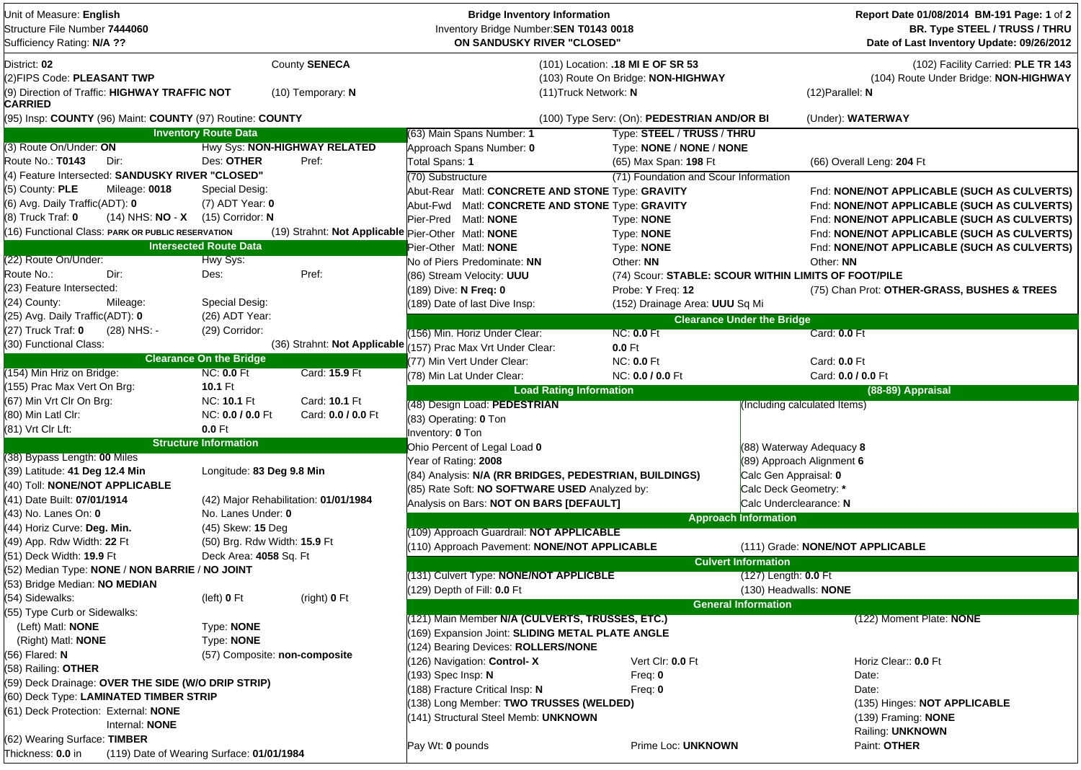| Unit of Measure: English<br>Structure File Number 7444060<br>Sufficiency Rating: N/A ??                |                                                             | <b>Bridge Inventory Information</b><br>Inventory Bridge Number: SEN T0143 0018<br>ON SANDUSKY RIVER "CLOSED" |                                                                         |                                   | Report Date 01/08/2014 BM-191 Page: 1 of 2<br><b>BR. Type STEEL / TRUSS / THRU</b><br>Date of Last Inventory Update: 09/26/2012 |
|--------------------------------------------------------------------------------------------------------|-------------------------------------------------------------|--------------------------------------------------------------------------------------------------------------|-------------------------------------------------------------------------|-----------------------------------|---------------------------------------------------------------------------------------------------------------------------------|
| District: 02<br>(2)FIPS Code: PLEASANT TWP<br>(9) Direction of Traffic: HIGHWAY TRAFFIC NOT<br>CARRIED | County SENECA<br>$(10)$ Temporary: N                        | (11) Truck Network: N                                                                                        | (101) Location: .18 MI E OF SR 53<br>(103) Route On Bridge: NON-HIGHWAY |                                   | (102) Facility Carried: PLE TR 143<br>(104) Route Under Bridge: NON-HIGHWAY<br>$(12)$ Parallel: N                               |
| (95) Insp: COUNTY (96) Maint: COUNTY (97) Routine: COUNTY                                              |                                                             |                                                                                                              | (100) Type Serv: (On): PEDESTRIAN AND/OR BI                             |                                   | (Under): WATERWAY                                                                                                               |
|                                                                                                        | <b>Inventory Route Data</b>                                 | (63) Main Spans Number: 1                                                                                    | Type: STEEL / TRUSS / THRU                                              |                                   |                                                                                                                                 |
| (3) Route On/Under: ON<br>Route No.: T0143<br>Dir:                                                     | Hwy Sys: NON-HIGHWAY RELATED<br>Des: OTHER<br>Pref:         | Approach Spans Number: 0<br>Total Spans: 1                                                                   | Type: NONE / NONE / NONE<br>(65) Max Span: 198 Ft                       |                                   | (66) Overall Leng: 204 Ft                                                                                                       |
| (4) Feature Intersected: SANDUSKY RIVER "CLOSED"                                                       |                                                             | (70) Substructure                                                                                            | (71) Foundation and Scour Information                                   |                                   |                                                                                                                                 |
| (5) County: PLE<br>Mileage: 0018                                                                       | Special Desig:                                              | Abut-Rear Matl: CONCRETE AND STONE Type: GRAVITY                                                             |                                                                         |                                   | Fnd: NONE/NOT APPLICABLE (SUCH AS CULVERTS)                                                                                     |
| (6) Avg. Daily Traffic(ADT): 0                                                                         | $(7)$ ADT Year: 0                                           | Abut-Fwd Matl: CONCRETE AND STONE Type: GRAVITY                                                              |                                                                         |                                   | Fnd: NONE/NOT APPLICABLE (SUCH AS CULVERTS)                                                                                     |
| $(8)$ Truck Traf: $0$<br>(14) NHS: NO - X (15) Corridor: N                                             |                                                             | Pier-Pred Matl: NONE                                                                                         | Type: NONE                                                              |                                   | Fnd: NONE/NOT APPLICABLE (SUCH AS CULVERTS)                                                                                     |
| (16) Functional Class: PARK OR PUBLIC RESERVATION                                                      |                                                             | (19) Strahnt: Not Applicable Pier-Other Matl: NONE                                                           | Type: NONE                                                              |                                   | Fnd: NONE/NOT APPLICABLE (SUCH AS CULVERTS)                                                                                     |
|                                                                                                        | <b>Intersected Route Data</b>                               | Pier-Other Matl: NONE                                                                                        | Type: NONE                                                              |                                   | Fnd: NONE/NOT APPLICABLE (SUCH AS CULVERTS)                                                                                     |
| (22) Route On/Under:                                                                                   | Hwy Sys:                                                    | No of Piers Predominate: NN                                                                                  | Other: NN                                                               |                                   | Other: NN                                                                                                                       |
| Route No.:<br>Dir:                                                                                     | Pref:<br>Des:                                               | (86) Stream Velocity: UUU                                                                                    | (74) Scour: STABLE: SCOUR WITHIN LIMITS OF FOOT/PILE                    |                                   |                                                                                                                                 |
| (23) Feature Intersected:                                                                              |                                                             | (189) Dive: N Freq: 0                                                                                        | Probe: Y Freq: 12                                                       |                                   | (75) Chan Prot: OTHER-GRASS, BUSHES & TREES                                                                                     |
| (24) County:<br>Mileage:                                                                               | Special Desig:                                              | (189) Date of last Dive Insp:                                                                                | (152) Drainage Area: UUU Sq Mi                                          |                                   |                                                                                                                                 |
| (25) Avg. Daily Traffic(ADT): 0                                                                        | (26) ADT Year:                                              |                                                                                                              |                                                                         | <b>Clearance Under the Bridge</b> |                                                                                                                                 |
| (27) Truck Traf: 0<br>(28) NHS: -                                                                      | (29) Corridor:                                              | (156) Min. Horiz Under Clear:                                                                                | <b>NC: 0.0 Ft</b>                                                       |                                   | Card: <b>0.0</b> Ft                                                                                                             |
| (30) Functional Class:                                                                                 |                                                             | (36) Strahnt: Not Applicable (157) Prac Max Vrt Under Clear:                                                 | $0.0$ Ft                                                                |                                   |                                                                                                                                 |
|                                                                                                        | <b>Clearance On the Bridge</b>                              | (77) Min Vert Under Clear:                                                                                   | <b>NC: 0.0 Ft</b>                                                       |                                   | Card: 0.0 Ft                                                                                                                    |
| (154) Min Hriz on Bridge:                                                                              | <b>NC: 0.0 Ft</b><br>Card: 15.9 Ft                          | (78) Min Lat Under Clear:                                                                                    | NC: 0.0 / 0.0 Ft                                                        |                                   | Card: 0.0 / 0.0 Ft                                                                                                              |
| (155) Prac Max Vert On Brg:                                                                            | <b>10.1 Ft</b>                                              | <b>Load Rating Information</b>                                                                               |                                                                         |                                   | (88-89) Appraisal                                                                                                               |
| (67) Min Vrt Clr On Brg:                                                                               | Card: 10.1 Ft<br>NC: 10.1 Ft                                | (48) Design Load: PEDESTRIAN                                                                                 |                                                                         | (Including calculated Items)      |                                                                                                                                 |
| (80) Min Latl Clr:                                                                                     | NC: 0.0 / 0.0 Ft<br>Card: 0.0 / 0.0 Ft                      | (83) Operating: 0 Ton                                                                                        |                                                                         |                                   |                                                                                                                                 |
| (81) Vrt Clr Lft:                                                                                      | $0.0$ Ft                                                    | Inventory: 0 Ton                                                                                             |                                                                         |                                   |                                                                                                                                 |
|                                                                                                        | <b>Structure Information</b>                                | Ohio Percent of Legal Load 0                                                                                 |                                                                         | (88) Waterway Adequacy 8          |                                                                                                                                 |
| (38) Bypass Length: 00 Miles                                                                           |                                                             | Year of Rating: 2008                                                                                         |                                                                         | (89) Approach Alignment 6         |                                                                                                                                 |
| (39) Latitude: 41 Deg 12.4 Min                                                                         | Longitude: 83 Deg 9.8 Min                                   | (84) Analysis: N/A (RR BRIDGES, PEDESTRIAN, BUILDINGS)                                                       |                                                                         | Calc Gen Appraisal: 0             |                                                                                                                                 |
| (40) Toll: NONE/NOT APPLICABLE                                                                         |                                                             | (85) Rate Soft: NO SOFTWARE USED Analyzed by:                                                                |                                                                         | Calc Deck Geometry: *             |                                                                                                                                 |
| (41) Date Built: 07/01/1914<br>(43) No. Lanes On: 0                                                    | (42) Major Rehabilitation: 01/01/1984<br>No. Lanes Under: 0 | Analysis on Bars: NOT ON BARS [DEFAULT]                                                                      |                                                                         | Calc Underclearance: N            |                                                                                                                                 |
| (44) Horiz Curve: Deg. Min.                                                                            | (45) Skew: 15 Deg                                           |                                                                                                              |                                                                         | <b>Approach Information</b>       |                                                                                                                                 |
| (49) App. Rdw Width: 22 Ft                                                                             | (50) Brg. Rdw Width: 15.9 Ft                                | (109) Approach Guardrail: NOT APPLICABLE                                                                     |                                                                         |                                   |                                                                                                                                 |
| (51) Deck Width: 19.9 Ft                                                                               | Deck Area: 4058 Sq. Ft                                      | (110) Approach Pavement: NONE/NOT APPLICABLE                                                                 |                                                                         |                                   | (111) Grade: NONE/NOT APPLICABLE                                                                                                |
| (52) Median Type: NONE / NON BARRIE / NO JOINT                                                         |                                                             |                                                                                                              |                                                                         | <b>Culvert Information</b>        |                                                                                                                                 |
| (53) Bridge Median: NO MEDIAN                                                                          |                                                             | (131) Culvert Type: NONE/NOT APPLICBLE                                                                       |                                                                         | (127) Length: 0.0 Ft              |                                                                                                                                 |
| (54) Sidewalks:                                                                                        | (left) $0$ Ft<br>(right) $0$ Ft                             | 129) Depth of Fill: 0.0 Ft                                                                                   |                                                                         | (130) Headwalls: NONE             |                                                                                                                                 |
| (55) Type Curb or Sidewalks:                                                                           |                                                             |                                                                                                              |                                                                         | <b>General Information</b>        |                                                                                                                                 |
| (Left) Matl: <b>NONE</b>                                                                               | Type: NONE                                                  | (121) Main Member N/A (CULVERTS, TRUSSES, ETC.)                                                              |                                                                         |                                   | (122) Moment Plate: NONE                                                                                                        |
| (Right) Matl: <b>NONE</b>                                                                              | Type: NONE                                                  | (169) Expansion Joint: SLIDING METAL PLATE ANGLE                                                             |                                                                         |                                   |                                                                                                                                 |
| (56) Flared: N                                                                                         | (57) Composite: non-composite                               | (124) Bearing Devices: ROLLERS/NONE                                                                          |                                                                         |                                   |                                                                                                                                 |
| (58) Railing: OTHER                                                                                    |                                                             | (126) Navigation: Control-X                                                                                  | Vert Clr: 0.0 Ft                                                        |                                   | Horiz Clear:: 0.0 Ft                                                                                                            |
| (59) Deck Drainage: OVER THE SIDE (W/O DRIP STRIP)                                                     |                                                             | (193) Spec Insp: N                                                                                           | Freq: $0$                                                               |                                   | Date:                                                                                                                           |
| (60) Deck Type: LAMINATED TIMBER STRIP                                                                 |                                                             | (188) Fracture Critical Insp: N                                                                              | Freq: 0                                                                 |                                   | Date:                                                                                                                           |
| (61) Deck Protection: External: NONE                                                                   |                                                             | (138) Long Member: TWO TRUSSES (WELDED)                                                                      |                                                                         |                                   | (135) Hinges: NOT APPLICABLE                                                                                                    |
| Internal: NONE                                                                                         |                                                             | (141) Structural Steel Memb: UNKNOWN                                                                         |                                                                         |                                   | (139) Framing: NONE                                                                                                             |
| (62) Wearing Surface: TIMBER                                                                           |                                                             |                                                                                                              |                                                                         |                                   | Railing: UNKNOWN                                                                                                                |
| Thickness: 0.0 in                                                                                      | (119) Date of Wearing Surface: 01/01/1984                   | Pay Wt: 0 pounds                                                                                             | Prime Loc: UNKNOWN                                                      |                                   | Paint: OTHER                                                                                                                    |
|                                                                                                        |                                                             |                                                                                                              |                                                                         |                                   |                                                                                                                                 |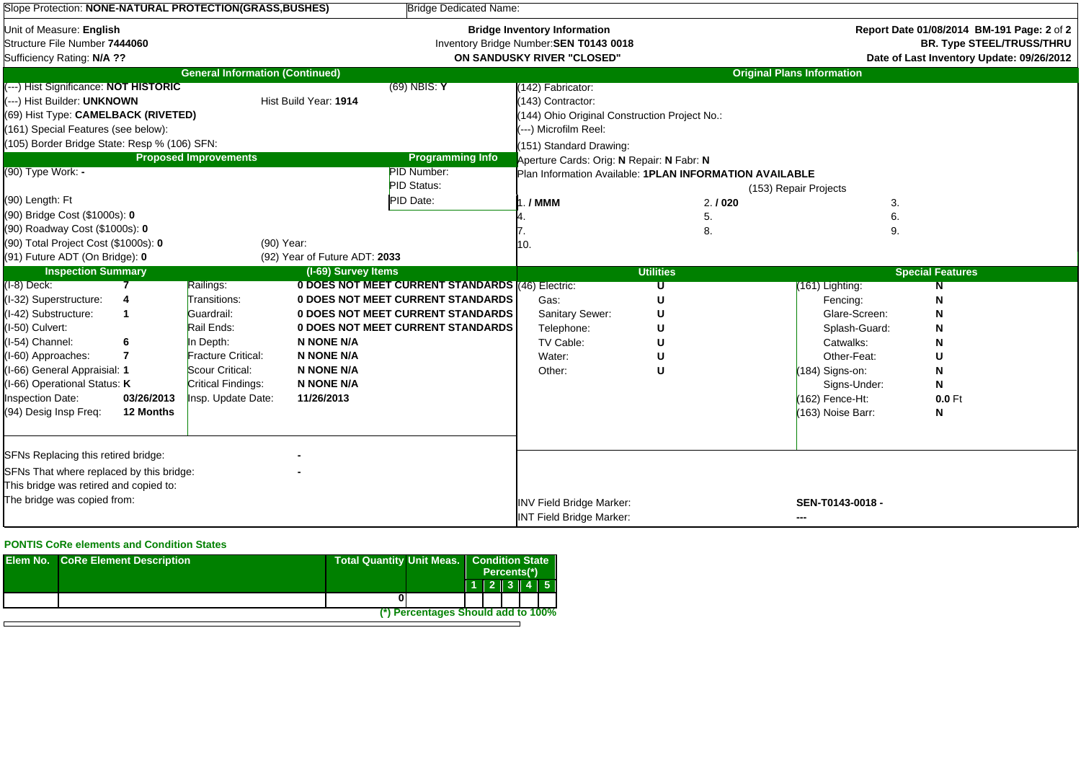| Slope Protection: NONE-NATURAL PROTECTION(GRASS,BUSHES)                                                                                                                                                                                                                       |                              |                                                                                                                                                                |                                                                                         | <b>Bridge Dedicated Name:</b>                                                                                                                                                        |                                                                                                                                                                                          |                                                         |                                                                                                                                                                        |                              |  |  |  |
|-------------------------------------------------------------------------------------------------------------------------------------------------------------------------------------------------------------------------------------------------------------------------------|------------------------------|----------------------------------------------------------------------------------------------------------------------------------------------------------------|-----------------------------------------------------------------------------------------|--------------------------------------------------------------------------------------------------------------------------------------------------------------------------------------|------------------------------------------------------------------------------------------------------------------------------------------------------------------------------------------|---------------------------------------------------------|------------------------------------------------------------------------------------------------------------------------------------------------------------------------|------------------------------|--|--|--|
| Unit of Measure: English<br>Structure File Number 7444060<br>Sufficiency Rating: N/A ??                                                                                                                                                                                       |                              |                                                                                                                                                                |                                                                                         |                                                                                                                                                                                      | <b>Bridge Inventory Information</b><br>Inventory Bridge Number: SEN T0143 0018<br>ON SANDUSKY RIVER "CLOSED"                                                                             |                                                         | Report Date 01/08/2014 BM-191 Page: 2 of 2<br><b>BR. Type STEEL/TRUSS/THRU</b><br>Date of Last Inventory Update: 09/26/2012                                            |                              |  |  |  |
|                                                                                                                                                                                                                                                                               |                              | <b>General Information (Continued)</b>                                                                                                                         |                                                                                         |                                                                                                                                                                                      |                                                                                                                                                                                          |                                                         | <b>Original Plans Information</b>                                                                                                                                      |                              |  |  |  |
| (---) Hist Significance: NOT HISTORIC<br>$(69)$ NBIS: Y<br>(---) Hist Builder: UNKNOWN<br>Hist Build Year: 1914<br>(69) Hist Type: CAMELBACK (RIVETED)<br>(161) Special Features (see below):<br>(105) Border Bridge State: Resp % (106) SFN:<br><b>Proposed Improvements</b> |                              |                                                                                                                                                                |                                                                                         | <b>Programming Info</b>                                                                                                                                                              | (142) Fabricator:<br>(143) Contractor:<br>(144) Ohio Original Construction Project No.:<br>(---) Microfilm Reel:<br>(151) Standard Drawing:<br>Aperture Cards: Orig: N Repair: N Fabr: N |                                                         |                                                                                                                                                                        |                              |  |  |  |
| (90) Type Work: -                                                                                                                                                                                                                                                             |                              |                                                                                                                                                                |                                                                                         | PID Number:<br><b>PID Status:</b>                                                                                                                                                    |                                                                                                                                                                                          | Plan Information Available: 1PLAN INFORMATION AVAILABLE | (153) Repair Projects                                                                                                                                                  |                              |  |  |  |
| (90) Length: Ft<br>(90) Bridge Cost (\$1000s): 0<br>(90) Roadway Cost (\$1000s): 0<br>(90) Total Project Cost (\$1000s): 0<br>(91) Future ADT (On Bridge): 0                                                                                                                  |                              | (90) Year:                                                                                                                                                     | (92) Year of Future ADT: 2033                                                           | PID Date:                                                                                                                                                                            | / MMM<br>10.                                                                                                                                                                             | 2.1020<br>5.<br>8.                                      | 3.<br>9.                                                                                                                                                               |                              |  |  |  |
| <b>Inspection Summary</b>                                                                                                                                                                                                                                                     |                              |                                                                                                                                                                | (I-69) Survey Items                                                                     |                                                                                                                                                                                      |                                                                                                                                                                                          | <b>Utilities</b>                                        |                                                                                                                                                                        | <b>Special Features</b>      |  |  |  |
| $(I-8)$ Deck:<br>(I-32) Superstructure:<br>(I-42) Substructure:<br>(I-50) Culvert:<br>(I-54) Channel:<br>(I-60) Approaches:<br>(I-66) General Appraisial: 1<br>I-66) Operational Status: K<br><b>Inspection Date:</b><br>(94) Desig Insp Freq:                                | 7<br>03/26/2013<br>12 Months | Railings:<br>Transitions:<br>Guardrail:<br>Rail Ends:<br>In Depth:<br><b>Fracture Critical:</b><br>Scour Critical:<br>Critical Findings:<br>Insp. Update Date: | N NONE N/A<br><b>N NONE N/A</b><br><b>N NONE N/A</b><br><b>N NONE N/A</b><br>11/26/2013 | 0 DOES NOT MEET CURRENT STANDARDS (46) Electric:<br><b>0 DOES NOT MEET CURRENT STANDARDS</b><br><b>0 DOES NOT MEET CURRENT STANDARDS</b><br><b>0 DOES NOT MEET CURRENT STANDARDS</b> | Gas:<br>Sanitary Sewer:<br>Telephone:<br>TV Cable:<br>Water:<br>Other:                                                                                                                   | U<br>U<br>U<br>U<br>U                                   | (161) Lighting:<br>Fencing:<br>Glare-Screen:<br>Splash-Guard:<br>Catwalks:<br>Other-Feat:<br>$(184)$ Signs-on:<br>Signs-Under:<br>(162) Fence-Ht:<br>(163) Noise Barr: | N<br>N<br>N<br>$0.0$ Ft<br>N |  |  |  |
| SFNs Replacing this retired bridge:<br>SFNs That where replaced by this bridge:<br>This bridge was retired and copied to:<br>The bridge was copied from:                                                                                                                      |                              |                                                                                                                                                                |                                                                                         |                                                                                                                                                                                      | <b>INV Field Bridge Marker:</b><br><b>INT Field Bridge Marker:</b>                                                                                                                       |                                                         | SEN-T0143-0018 -                                                                                                                                                       |                              |  |  |  |

## **PONTIS CoRe elements and Condition States**

| <b>Elem No. CoRe Element Description</b> | Total Quantity Unit Meas.   Condition State |          | Percents(*) |  |  |  |  |
|------------------------------------------|---------------------------------------------|----------|-------------|--|--|--|--|
|                                          |                                             | 11213145 |             |  |  |  |  |
|                                          |                                             |          |             |  |  |  |  |
|                                          | (*) Percentages Should add to 100%          |          |             |  |  |  |  |
|                                          |                                             |          |             |  |  |  |  |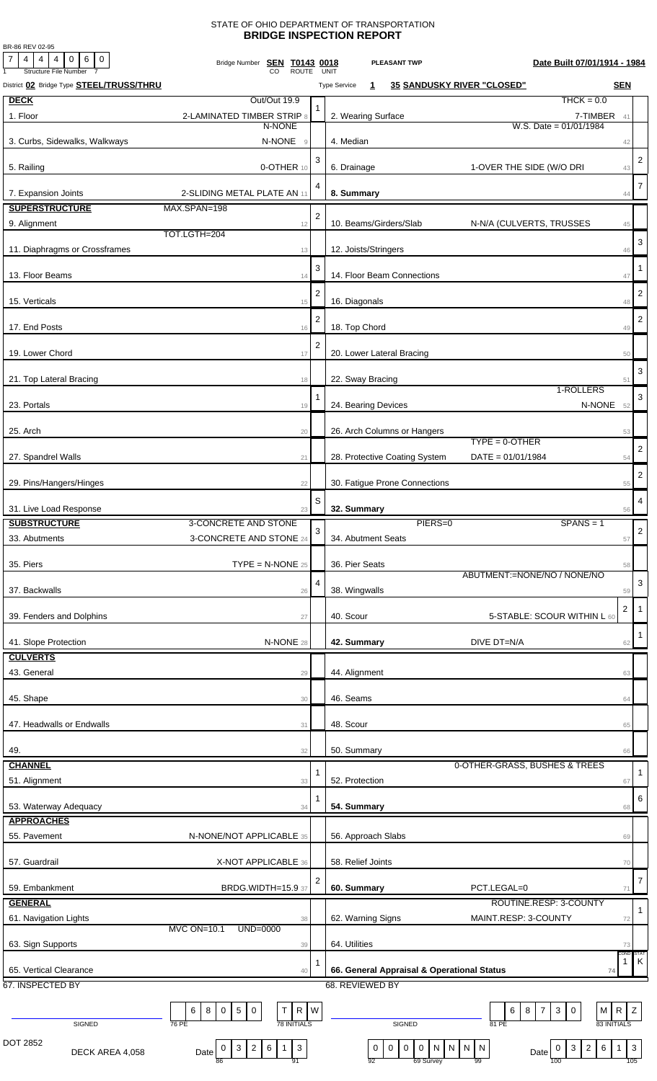## STATE OF OHIO DEPARTMENT OF TRANSPORTATION **BRIDGE INSPECTION REPORT**

BR-86 REV 02-95

| 7 <sub>l</sub><br>$4 \mid 4 \mid 4 \mid$<br>$\circ$<br>6 0<br><b>Structure File Number</b> | Bridge Number <b>SEN T0143 0018</b><br><b>ROUTE</b>                      |                | Date Built 07/01/1914 - 1984<br><b>PLEASANT TWP</b><br>UNIT                                                                                                                                                     |
|--------------------------------------------------------------------------------------------|--------------------------------------------------------------------------|----------------|-----------------------------------------------------------------------------------------------------------------------------------------------------------------------------------------------------------------|
| District 02 Bridge Type <b>STEEL/TRUSS/THRU</b>                                            |                                                                          |                | <b>35 SANDUSKY RIVER "CLOSED"</b><br><b>SEN</b><br><b>Type Service</b><br>1                                                                                                                                     |
| <b>DECK</b>                                                                                | Out/Out 19.9                                                             |                | $THCK = 0.0$                                                                                                                                                                                                    |
| 1. Floor                                                                                   | 2-LAMINATED TIMBER STRIP 8                                               |                | 2. Wearing Surface<br>7-TIMBER 41                                                                                                                                                                               |
|                                                                                            | N-NONE                                                                   |                | W.S. Date = $01/01/1984$                                                                                                                                                                                        |
| 3. Curbs, Sidewalks, Walkways                                                              | N-NONE<br>$\overline{9}$                                                 |                | 4. Median<br>42                                                                                                                                                                                                 |
|                                                                                            |                                                                          | 3              | $\overline{2}$                                                                                                                                                                                                  |
| 5. Railing                                                                                 | 0-OTHER 10                                                               |                | 6. Drainage<br>1-OVER THE SIDE (W/O DRI<br>43                                                                                                                                                                   |
| 7. Expansion Joints                                                                        | 2-SLIDING METAL PLATE AN 11                                              | 4              | $\overline{7}$<br>8. Summary<br>44                                                                                                                                                                              |
| <b>SUPERSTRUCTURE</b>                                                                      | MAX.SPAN=198                                                             |                |                                                                                                                                                                                                                 |
| 9. Alignment                                                                               | 12                                                                       | $\overline{2}$ | 10. Beams/Girders/Slab<br>N-N/A (CULVERTS, TRUSSES<br>45                                                                                                                                                        |
|                                                                                            | TOT.LGTH=204                                                             |                | 3                                                                                                                                                                                                               |
| 11. Diaphragms or Crossframes                                                              | 13                                                                       |                | 12. Joists/Stringers<br>46                                                                                                                                                                                      |
|                                                                                            |                                                                          | 3              | -1                                                                                                                                                                                                              |
| 13. Floor Beams                                                                            | 14                                                                       |                | 14. Floor Beam Connections<br>47                                                                                                                                                                                |
| 15. Verticals                                                                              | 15                                                                       | $\overline{2}$ | $\overline{2}$<br>16. Diagonals<br>48                                                                                                                                                                           |
|                                                                                            |                                                                          | $\overline{2}$ | $\overline{2}$                                                                                                                                                                                                  |
| 17. End Posts                                                                              | 16                                                                       |                | 18. Top Chord<br>49                                                                                                                                                                                             |
|                                                                                            |                                                                          | $\overline{2}$ |                                                                                                                                                                                                                 |
| 19. Lower Chord                                                                            | 17                                                                       |                | 20. Lower Lateral Bracing<br>50                                                                                                                                                                                 |
| 21. Top Lateral Bracing                                                                    | 18                                                                       |                | 3<br>22. Sway Bracing<br>51                                                                                                                                                                                     |
|                                                                                            |                                                                          | 1              | 1-ROLLERS<br>3                                                                                                                                                                                                  |
| 23. Portals                                                                                | 19                                                                       |                | N-NONE 52<br>24. Bearing Devices                                                                                                                                                                                |
|                                                                                            |                                                                          |                |                                                                                                                                                                                                                 |
| 25. Arch                                                                                   | 20                                                                       |                | 26. Arch Columns or Hangers<br>53<br>$TYPE = 0 - OTHER$                                                                                                                                                         |
| 27. Spandrel Walls                                                                         | 21                                                                       |                | $\overline{\mathbf{c}}$<br>28. Protective Coating System<br>$DATA = 01/01/1984$<br>54                                                                                                                           |
|                                                                                            |                                                                          |                |                                                                                                                                                                                                                 |
| 29. Pins/Hangers/Hinges                                                                    | 22                                                                       |                | $\overline{\mathbf{c}}$<br>30. Fatigue Prone Connections<br>55                                                                                                                                                  |
|                                                                                            |                                                                          | S              | 4                                                                                                                                                                                                               |
| 31. Live Load Response                                                                     | 23                                                                       |                | 32. Summary<br>56                                                                                                                                                                                               |
| <b>SUBSTRUCTURE</b>                                                                        | 3-CONCRETE AND STONE                                                     | 3              | PIERS=0<br>$SPANS = 1$<br>$\sqrt{2}$                                                                                                                                                                            |
| 33. Abutments                                                                              | 3-CONCRETE AND STONE 24                                                  |                | 34. Abutment Seats<br>57                                                                                                                                                                                        |
| 35. Piers                                                                                  | $\mathsf{TYPE} = \mathsf{N}\text{-}\mathsf{NONE}$ 25                     |                | 36. Pier Seats<br>58                                                                                                                                                                                            |
|                                                                                            |                                                                          | 4              | ABUTMENT:=NONE/NO / NONE/NO<br>3                                                                                                                                                                                |
| 37. Backwalls                                                                              | 26                                                                       |                | 38. Wingwalls<br>59                                                                                                                                                                                             |
|                                                                                            |                                                                          |                | $\overline{2}$<br>$\overline{\mathbf{1}}$                                                                                                                                                                       |
| 39. Fenders and Dolphins                                                                   | 27                                                                       |                | 40. Scour<br>5-STABLE: SCOUR WITHIN L 60                                                                                                                                                                        |
| 41. Slope Protection                                                                       | N-NONE 28                                                                |                | $\mathbf{1}$<br>42. Summary<br>DIVE DT=N/A<br>62                                                                                                                                                                |
| <b>CULVERTS</b>                                                                            |                                                                          |                |                                                                                                                                                                                                                 |
| 43. General                                                                                | 29                                                                       |                | 44. Alignment<br>63                                                                                                                                                                                             |
|                                                                                            |                                                                          |                |                                                                                                                                                                                                                 |
| 45. Shape                                                                                  | 30                                                                       |                | 46. Seams<br>64                                                                                                                                                                                                 |
|                                                                                            |                                                                          |                |                                                                                                                                                                                                                 |
| 47. Headwalls or Endwalls                                                                  | 31                                                                       |                | 48. Scour<br>65                                                                                                                                                                                                 |
| 49.                                                                                        | 32                                                                       |                | 50. Summary<br>66                                                                                                                                                                                               |
| <b>CHANNEL</b>                                                                             |                                                                          |                | 0-OTHER-GRASS, BUSHES & TREES                                                                                                                                                                                   |
| 51. Alignment                                                                              | 33                                                                       | 1              | 1<br>52. Protection<br>67                                                                                                                                                                                       |
|                                                                                            |                                                                          | 1              | 6                                                                                                                                                                                                               |
| 53. Waterway Adequacy                                                                      | 34                                                                       |                | 54. Summary<br>68                                                                                                                                                                                               |
| <b>APPROACHES</b>                                                                          |                                                                          |                |                                                                                                                                                                                                                 |
| 55. Pavement                                                                               | N-NONE/NOT APPLICABLE 35                                                 |                | 56. Approach Slabs<br>69                                                                                                                                                                                        |
| 57. Guardrail                                                                              | X-NOT APPLICABLE 36                                                      |                | 58. Relief Joints<br>70                                                                                                                                                                                         |
|                                                                                            |                                                                          |                |                                                                                                                                                                                                                 |
| 59. Embankment                                                                             | BRDG.WIDTH=15.9 37                                                       | 2              | $\overline{7}$<br>60. Summary<br>PCT.LEGAL=0<br>71                                                                                                                                                              |
| <b>GENERAL</b>                                                                             |                                                                          |                | ROUTINE.RESP: 3-COUNTY                                                                                                                                                                                          |
| 61. Navigation Lights                                                                      | 38                                                                       |                | $\mathbf{1}$<br>MAINT.RESP: 3-COUNTY<br>62. Warning Signs<br>72                                                                                                                                                 |
|                                                                                            | <b>MVC ON=10.1</b><br>UND=0000                                           |                |                                                                                                                                                                                                                 |
| 63. Sign Supports                                                                          | 39                                                                       |                | 64. Utilities<br>73<br>CONE:<br>STAT                                                                                                                                                                            |
| 65. Vertical Clearance                                                                     | 40                                                                       |                | K<br>1<br>66. General Appraisal & Operational Status<br>74                                                                                                                                                      |
| 67. INSPECTED BY                                                                           |                                                                          |                | 68. REVIEWED BY                                                                                                                                                                                                 |
|                                                                                            |                                                                          |                |                                                                                                                                                                                                                 |
|                                                                                            | R W<br>$\sqrt{5}$<br>T<br>6<br>8<br>0<br>$\mathbf 0$                     |                | Z<br>$\mathbf{3}$<br>$\mathbf 0$<br>M R<br>6<br>8<br>$\overline{7}$                                                                                                                                             |
| SIGNED                                                                                     | <b>78 INITIALS</b><br>76 PE                                              |                | 83 INITIALS<br>SIGNED<br>81 PE                                                                                                                                                                                  |
| DOT 2852                                                                                   | $\mathbf{3}$<br>$\overline{2}$<br>6<br>$\mathbf{1}$<br>$\mathbf{3}$<br>0 |                | $6\overline{6}$<br>$\mathsf 0$<br>$\boldsymbol{0}$<br>N N<br>$\overline{2}$<br>$\overline{\mathbf{3}}$<br>$\mathbf 0$<br>$\overline{0}$<br>N<br>$\overline{\phantom{a}}$ N<br>$\mathbf{3}$<br>$\mathbf{1}$<br>0 |
| DECK AREA 4,058                                                                            | Date<br>91<br>86                                                         |                | Date<br>69 Survey<br>105<br>92<br>99<br>100                                                                                                                                                                     |